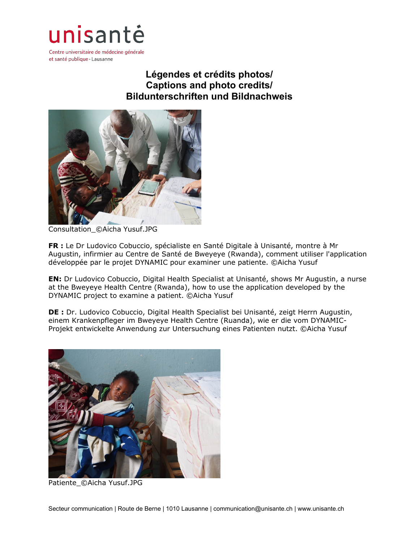

Centre universitaire de médecine générale et santé publique · Lausanne

## **Légendes et crédits photos/ Captions and photo credits/ Bildunterschriften und Bildnachweis**



Consultation\_©Aicha Yusuf.JPG

**FR :** Le Dr Ludovico Cobuccio, spécialiste en Santé Digitale à Unisanté, montre à Mr Augustin, infirmier au Centre de Santé de Bweyeye (Rwanda), comment utiliser l'application développée par le projet DYNAMIC pour examiner une patiente. ©Aicha Yusuf

**EN:** Dr Ludovico Cobuccio, Digital Health Specialist at Unisanté, shows Mr Augustin, a nurse at the Bweyeye Health Centre (Rwanda), how to use the application developed by the DYNAMIC project to examine a patient. ©Aicha Yusuf

**DE :** Dr. Ludovico Cobuccio, Digital Health Specialist bei Unisanté, zeigt Herrn Augustin, einem Krankenpfleger im Bweyeye Health Centre (Ruanda), wie er die vom DYNAMIC-Projekt entwickelte Anwendung zur Untersuchung eines Patienten nutzt. ©Aicha Yusuf



Patiente\_©Aicha Yusuf.JPG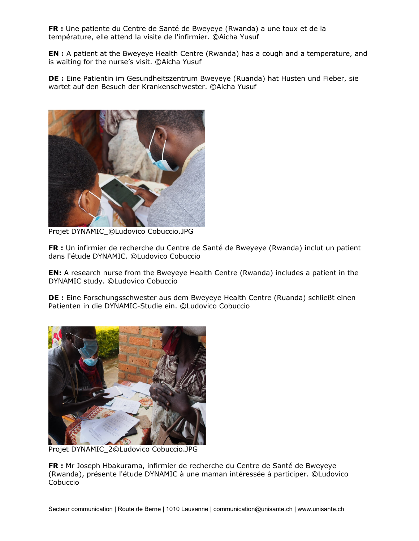**FR :** Une patiente du Centre de Santé de Bweyeye (Rwanda) a une toux et de la température, elle attend la visite de l'infirmier. ©Aicha Yusuf

**EN :** A patient at the Bweyeye Health Centre (Rwanda) has a cough and a temperature, and is waiting for the nurse's visit. ©Aicha Yusuf

**DE :** Eine Patientin im Gesundheitszentrum Bweyeye (Ruanda) hat Husten und Fieber, sie wartet auf den Besuch der Krankenschwester. ©Aicha Yusuf



Projet DYNAMIC\_©Ludovico Cobuccio.JPG

**FR :** Un infirmier de recherche du Centre de Santé de Bweyeye (Rwanda) inclut un patient dans l'étude DYNAMIC. ©Ludovico Cobuccio

**EN:** A research nurse from the Bweyeye Health Centre (Rwanda) includes a patient in the DYNAMIC study. ©Ludovico Cobuccio

**DE :** Eine Forschungsschwester aus dem Bweyeye Health Centre (Ruanda) schließt einen Patienten in die DYNAMIC-Studie ein. ©Ludovico Cobuccio



Projet DYNAMIC\_2©Ludovico Cobuccio.JPG

**FR :** Mr Joseph Hbakurama, infirmier de recherche du Centre de Santé de Bweyeye (Rwanda), présente l'étude DYNAMIC à une maman intéressée à participer. ©Ludovico Cobuccio